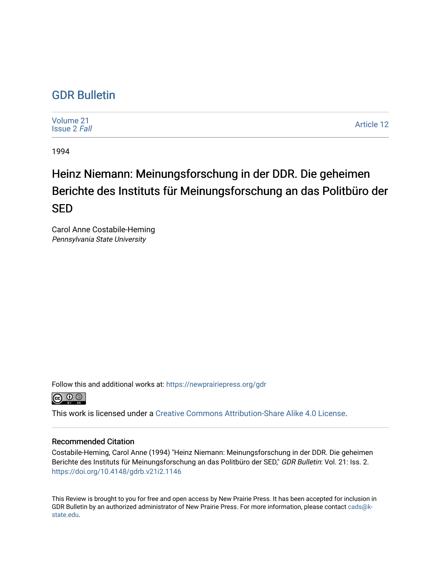# [GDR Bulletin](https://newprairiepress.org/gdr)

[Volume 21](https://newprairiepress.org/gdr/vol21) [Issue 2](https://newprairiepress.org/gdr/vol21/iss2) Fall

[Article 12](https://newprairiepress.org/gdr/vol21/iss2/12) 

1994

# Heinz Niemann: Meinungsforschung in der DDR. Die geheimen Berichte des Instituts für Meinungsforschung an das Politbüro der SED

Carol Anne Costabile-Heming Pennsylvania State University

Follow this and additional works at: [https://newprairiepress.org/gdr](https://newprairiepress.org/gdr?utm_source=newprairiepress.org%2Fgdr%2Fvol21%2Fiss2%2F12&utm_medium=PDF&utm_campaign=PDFCoverPages) 



This work is licensed under a [Creative Commons Attribution-Share Alike 4.0 License.](https://creativecommons.org/licenses/by-sa/4.0/)

## Recommended Citation

Costabile-Heming, Carol Anne (1994) "Heinz Niemann: Meinungsforschung in der DDR. Die geheimen Berichte des Instituts für Meinungsforschung an das Politbüro der SED," GDR Bulletin: Vol. 21: Iss. 2. <https://doi.org/10.4148/gdrb.v21i2.1146>

This Review is brought to you for free and open access by New Prairie Press. It has been accepted for inclusion in GDR Bulletin by an authorized administrator of New Prairie Press. For more information, please contact [cads@k](mailto:cads@k-state.edu)[state.edu](mailto:cads@k-state.edu).